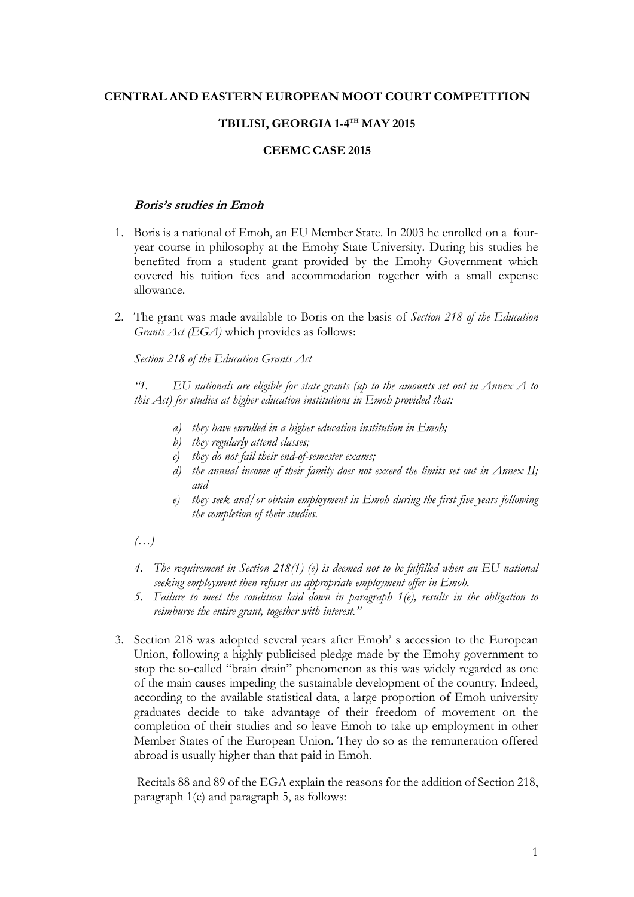## **CENTRAL AND EASTERN EUROPEAN MOOT COURT COMPETITION**

## $\bf{TBLISI, GEORGIA\,1-4}^{\rm TH}\bf{MAY\,2015}$

### **CEEMC CASE 2015**

#### **Boris's studies in Emoh**

- 1. Boris is a national of Emoh, an EU Member State. In 2003 he enrolled on a fouryear course in philosophy at the Emohy State University. During his studies he benefited from a student grant provided by the Emohy Government which covered his tuition fees and accommodation together with a small expense allowance.
- 2. The grant was made available to Boris on the basis of *Section 218 of the Education Grants Act (EGA)* which provides as follows:

*Section 218 of the Education Grants Act*

*"1. EU nationals are eligible for state grants (up to the amounts set out in Annex A to this Act) for studies at higher education institutions in Emoh provided that:*

- *a) they have enrolled in a higher education institution in Emoh;*
- *b) they regularly attend classes;*
- *c) they do not fail their end-of-semester exams;*
- *d) the annual income of their family does not exceed the limits set out in Annex II; and*
- *e) they seek and/or obtain employment in Emoh during the first five years following the completion of their studies.*
- *(…)*
- *4. The requirement in Section 218(1) (e) is deemed not to be fulfilled when an EU national seeking employment then refuses an appropriate employment offer in Emoh.*
- *5. Failure to meet the condition laid down in paragraph 1(e), results in the obligation to reimburse the entire grant, together with interest."*
- 3. Section 218 was adopted several years after Emoh' s accession to the European Union, following a highly publicised pledge made by the Emohy government to stop the so-called "brain drain" phenomenon as this was widely regarded as one of the main causes impeding the sustainable development of the country. Indeed, according to the available statistical data, a large proportion of Emoh university graduates decide to take advantage of their freedom of movement on the completion of their studies and so leave Emoh to take up employment in other Member States of the European Union. They do so as the remuneration offered abroad is usually higher than that paid in Emoh.

Recitals 88 and 89 of the EGA explain the reasons for the addition of Section 218, paragraph 1(e) and paragraph 5, as follows: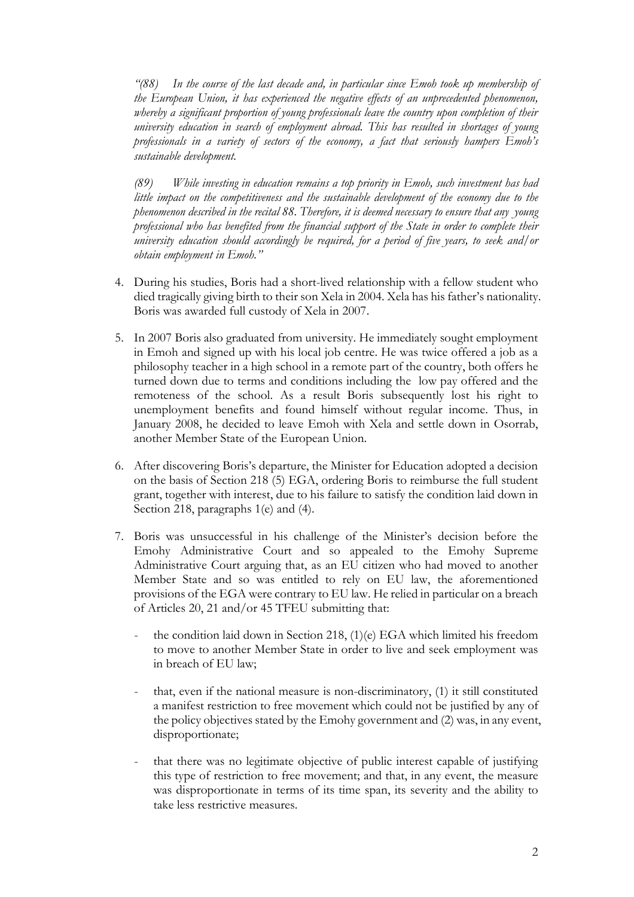*"(88) In the course of the last decade and, in particular since Emoh took up membership of the European Union, it has experienced the negative effects of an unprecedented phenomenon, whereby a significant proportion of young professionals leave the country upon completion of their university education in search of employment abroad. This has resulted in shortages of young professionals in a variety of sectors of the economy, a fact that seriously hampers Emoh's sustainable development.* 

*(89) While investing in education remains a top priority in Emoh, such investment has had little impact on the competitiveness and the sustainable development of the economy due to the phenomenon described in the recital 88. Therefore, it is deemed necessary to ensure that any young professional who has benefited from the financial support of the State in order to complete their university education should accordingly be required, for a period of five years, to seek and/or obtain employment in Emoh."*

- 4. During his studies, Boris had a short-lived relationship with a fellow student who died tragically giving birth to their son Xela in 2004. Xela has his father's nationality. Boris was awarded full custody of Xela in 2007.
- 5. In 2007 Boris also graduated from university. He immediately sought employment in Emoh and signed up with his local job centre. He was twice offered a job as a philosophy teacher in a high school in a remote part of the country, both offers he turned down due to terms and conditions including the low pay offered and the remoteness of the school. As a result Boris subsequently lost his right to unemployment benefits and found himself without regular income. Thus, in January 2008, he decided to leave Emoh with Xela and settle down in Osorrab, another Member State of the European Union.
- 6. After discovering Boris's departure, the Minister for Education adopted a decision on the basis of Section 218 (5) EGA, ordering Boris to reimburse the full student grant, together with interest, due to his failure to satisfy the condition laid down in Section 218, paragraphs 1(e) and (4).
- 7. Boris was unsuccessful in his challenge of the Minister's decision before the Emohy Administrative Court and so appealed to the Emohy Supreme Administrative Court arguing that, as an EU citizen who had moved to another Member State and so was entitled to rely on EU law, the aforementioned provisions of the EGA were contrary to EU law. He relied in particular on a breach of Articles 20, 21 and/or 45 TFEU submitting that:
	- the condition laid down in Section 218, (1)(e) EGA which limited his freedom to move to another Member State in order to live and seek employment was in breach of EU law;
	- that, even if the national measure is non-discriminatory, (1) it still constituted a manifest restriction to free movement which could not be justified by any of the policy objectives stated by the Emohy government and (2) was, in any event, disproportionate;
	- that there was no legitimate objective of public interest capable of justifying this type of restriction to free movement; and that, in any event, the measure was disproportionate in terms of its time span, its severity and the ability to take less restrictive measures.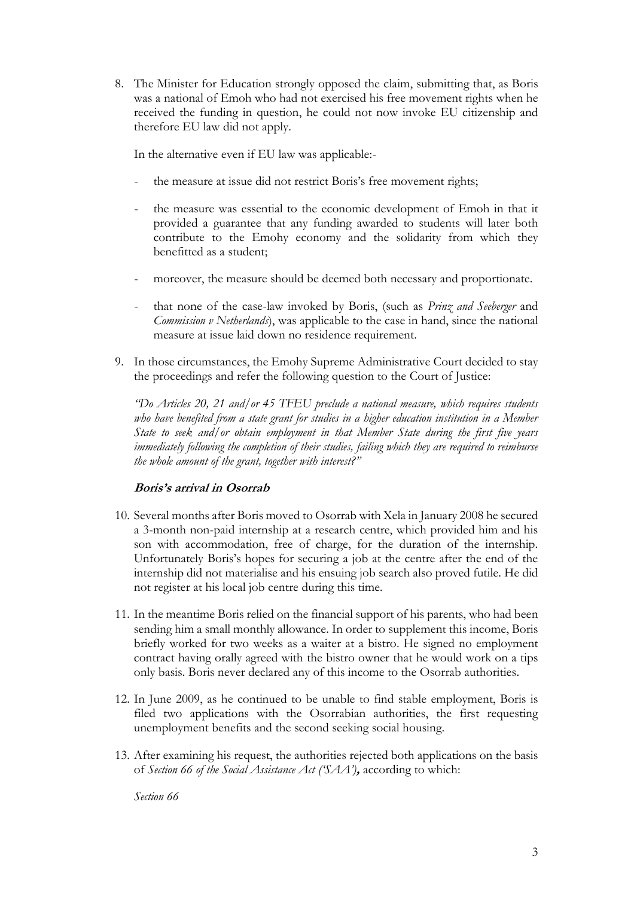8. The Minister for Education strongly opposed the claim, submitting that, as Boris was a national of Emoh who had not exercised his free movement rights when he received the funding in question, he could not now invoke EU citizenship and therefore EU law did not apply.

In the alternative even if EU law was applicable:-

- the measure at issue did not restrict Boris's free movement rights;
- the measure was essential to the economic development of Emoh in that it provided a guarantee that any funding awarded to students will later both contribute to the Emohy economy and the solidarity from which they benefitted as a student;
- moreover, the measure should be deemed both necessary and proportionate.
- that none of the case-law invoked by Boris, (such as *Prinz and Seeberger* and *Commission v Netherlands*), was applicable to the case in hand, since the national measure at issue laid down no residence requirement.
- 9. In those circumstances, the Emohy Supreme Administrative Court decided to stay the proceedings and refer the following question to the Court of Justice:

*"Do Articles 20, 21 and/or 45 TFEU preclude a national measure, which requires students who have benefited from a state grant for studies in a higher education institution in a Member State to seek and/or obtain employment in that Member State during the first five years immediately following the completion of their studies, failing which they are required to reimburse the whole amount of the grant, together with interest?"* 

### **Boris's arrival in Osorrab**

- 10. Several months after Boris moved to Osorrab with Xela in January 2008 he secured a 3-month non-paid internship at a research centre, which provided him and his son with accommodation, free of charge, for the duration of the internship. Unfortunately Boris's hopes for securing a job at the centre after the end of the internship did not materialise and his ensuing job search also proved futile. He did not register at his local job centre during this time.
- 11. In the meantime Boris relied on the financial support of his parents, who had been sending him a small monthly allowance. In order to supplement this income, Boris briefly worked for two weeks as a waiter at a bistro. He signed no employment contract having orally agreed with the bistro owner that he would work on a tips only basis. Boris never declared any of this income to the Osorrab authorities.
- 12. In June 2009, as he continued to be unable to find stable employment, Boris is filed two applications with the Osorrabian authorities, the first requesting unemployment benefits and the second seeking social housing.
- 13. After examining his request, the authorities rejected both applications on the basis of *Section 66 of the Social Assistance Act ('SAA')***,** according to which:

*Section 66*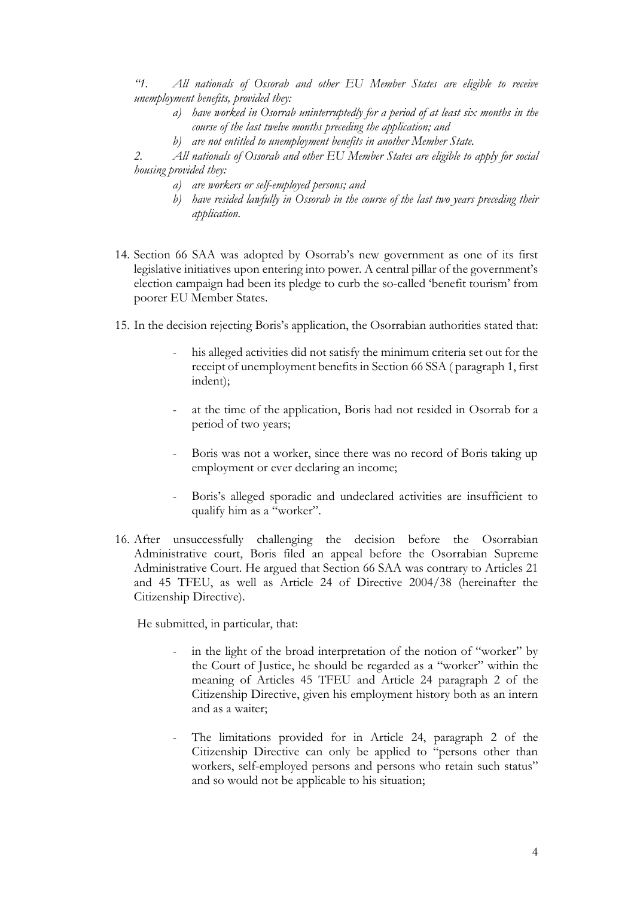*"1. All nationals of Ossorab and other EU Member States are eligible to receive unemployment benefits, provided they:*

- *a) have worked in Osorrab uninterruptedly for a period of at least six months in the course of the last twelve months preceding the application; and*
- *b) are not entitled to unemployment benefits in another Member State.*

*2. All nationals of Ossorab and other EU Member States are eligible to apply for social housing provided they:*

- *a) are workers or self-employed persons; and*
- *b) have resided lawfully in Ossorab in the course of the last two years preceding their application.*
- 14. Section 66 SAA was adopted by Osorrab's new government as one of its first legislative initiatives upon entering into power. A central pillar of the government's election campaign had been its pledge to curb the so-called 'benefit tourism' from poorer EU Member States.
- 15. In the decision rejecting Boris's application, the Osorrabian authorities stated that:
	- his alleged activities did not satisfy the minimum criteria set out for the receipt of unemployment benefits in Section 66 SSA ( paragraph 1, first indent);
	- at the time of the application, Boris had not resided in Osorrab for a period of two years;
	- Boris was not a worker, since there was no record of Boris taking up employment or ever declaring an income;
	- Boris's alleged sporadic and undeclared activities are insufficient to qualify him as a "worker".
- 16. After unsuccessfully challenging the decision before the Osorrabian Administrative court, Boris filed an appeal before the Osorrabian Supreme Administrative Court. He argued that Section 66 SAA was contrary to Articles 21 and 45 TFEU, as well as Article 24 of Directive 2004/38 (hereinafter the Citizenship Directive).

He submitted, in particular, that:

- in the light of the broad interpretation of the notion of "worker" by the Court of Justice, he should be regarded as a "worker" within the meaning of Articles 45 TFEU and Article 24 paragraph 2 of the Citizenship Directive, given his employment history both as an intern and as a waiter;
- The limitations provided for in Article 24, paragraph 2 of the Citizenship Directive can only be applied to "persons other than workers, self-employed persons and persons who retain such status" and so would not be applicable to his situation;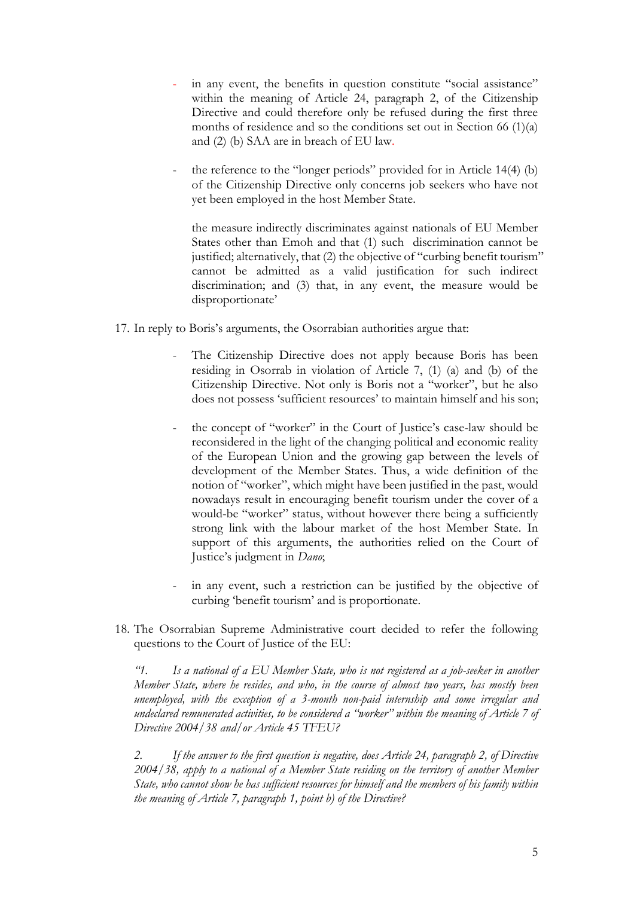- in any event, the benefits in question constitute "social assistance" within the meaning of Article 24, paragraph 2, of the Citizenship Directive and could therefore only be refused during the first three months of residence and so the conditions set out in Section 66  $(1)(a)$ and (2) (b) SAA are in breach of EU law.
- the reference to the "longer periods" provided for in Article 14(4) (b) of the Citizenship Directive only concerns job seekers who have not yet been employed in the host Member State.

the measure indirectly discriminates against nationals of EU Member States other than Emoh and that (1) such discrimination cannot be justified; alternatively, that (2) the objective of "curbing benefit tourism" cannot be admitted as a valid justification for such indirect discrimination; and (3) that, in any event, the measure would be disproportionate'

- 17. In reply to Boris's arguments, the Osorrabian authorities argue that:
	- The Citizenship Directive does not apply because Boris has been residing in Osorrab in violation of Article 7, (1) (a) and (b) of the Citizenship Directive. Not only is Boris not a "worker", but he also does not possess 'sufficient resources' to maintain himself and his son;
	- the concept of "worker" in the Court of Justice's case-law should be reconsidered in the light of the changing political and economic reality of the European Union and the growing gap between the levels of development of the Member States. Thus, a wide definition of the notion of "worker", which might have been justified in the past, would nowadays result in encouraging benefit tourism under the cover of a would-be "worker" status, without however there being a sufficiently strong link with the labour market of the host Member State. In support of this arguments, the authorities relied on the Court of Justice's judgment in *Dano*;
	- in any event, such a restriction can be justified by the objective of curbing 'benefit tourism' and is proportionate.
- 18. The Osorrabian Supreme Administrative court decided to refer the following questions to the Court of Justice of the EU:

*"1. Is a national of a EU Member State, who is not registered as a job-seeker in another Member State, where he resides, and who, in the course of almost two years, has mostly been unemployed, with the exception of a 3-month non-paid internship and some irregular and undeclared remunerated activities, to be considered a "worker" within the meaning of Article 7 of Directive 2004/38 and/or Article 45 TFEU?*

*2. If the answer to the first question is negative, does Article 24, paragraph 2, of Directive 2004/38, apply to a national of a Member State residing on the territory of another Member State, who cannot show he has sufficient resources for himself and the members of his family within the meaning of Article 7, paragraph 1, point b) of the Directive?*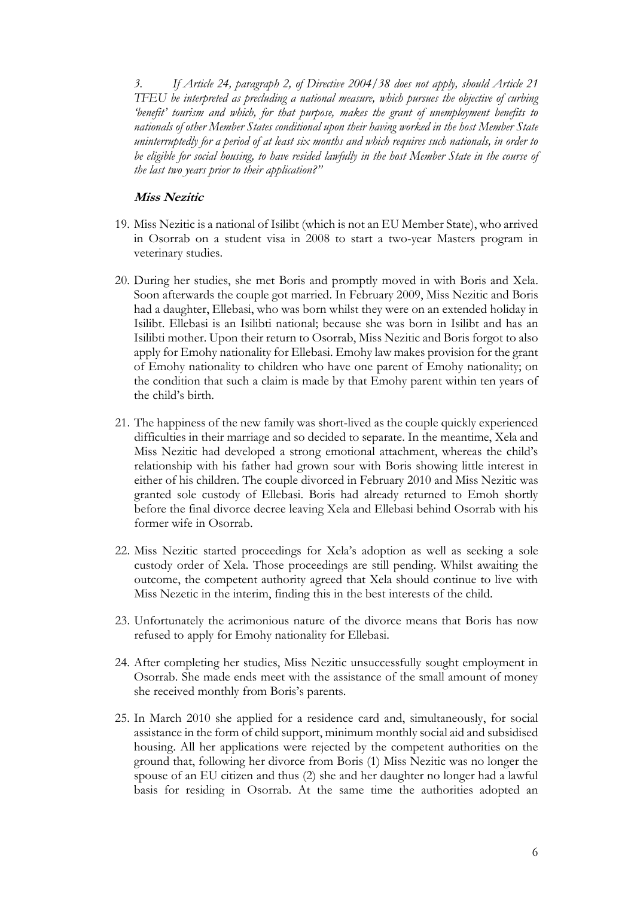*3. If Article 24, paragraph 2, of Directive 2004/38 does not apply, should Article 21 TFEU be interpreted as precluding a national measure, which pursues the objective of curbing 'benefit' tourism and which, for that purpose, makes the grant of unemployment benefits to nationals of other Member States conditional upon their having worked in the host Member State uninterruptedly for a period of at least six months and which requires such nationals, in order to be eligible for social housing, to have resided lawfully in the host Member State in the course of the last two years prior to their application?"*

#### **Miss Nezitic**

- 19. Miss Nezitic is a national of Isilibt (which is not an EU Member State), who arrived in Osorrab on a student visa in 2008 to start a two-year Masters program in veterinary studies.
- 20. During her studies, she met Boris and promptly moved in with Boris and Xela. Soon afterwards the couple got married. In February 2009, Miss Nezitic and Boris had a daughter, Ellebasi, who was born whilst they were on an extended holiday in Isilibt. Ellebasi is an Isilibti national; because she was born in Isilibt and has an Isilibti mother. Upon their return to Osorrab, Miss Nezitic and Boris forgot to also apply for Emohy nationality for Ellebasi. Emohy law makes provision for the grant of Emohy nationality to children who have one parent of Emohy nationality; on the condition that such a claim is made by that Emohy parent within ten years of the child's birth.
- 21. The happiness of the new family was short-lived as the couple quickly experienced difficulties in their marriage and so decided to separate. In the meantime, Xela and Miss Nezitic had developed a strong emotional attachment, whereas the child's relationship with his father had grown sour with Boris showing little interest in either of his children. The couple divorced in February 2010 and Miss Nezitic was granted sole custody of Ellebasi. Boris had already returned to Emoh shortly before the final divorce decree leaving Xela and Ellebasi behind Osorrab with his former wife in Osorrab.
- 22. Miss Nezitic started proceedings for Xela's adoption as well as seeking a sole custody order of Xela. Those proceedings are still pending. Whilst awaiting the outcome, the competent authority agreed that Xela should continue to live with Miss Nezetic in the interim, finding this in the best interests of the child.
- 23. Unfortunately the acrimonious nature of the divorce means that Boris has now refused to apply for Emohy nationality for Ellebasi.
- 24. After completing her studies, Miss Nezitic unsuccessfully sought employment in Osorrab. She made ends meet with the assistance of the small amount of money she received monthly from Boris's parents.
- 25. In March 2010 she applied for a residence card and, simultaneously, for social assistance in the form of child support, minimum monthly social aid and subsidised housing. All her applications were rejected by the competent authorities on the ground that, following her divorce from Boris (1) Miss Nezitic was no longer the spouse of an EU citizen and thus (2) she and her daughter no longer had a lawful basis for residing in Osorrab. At the same time the authorities adopted an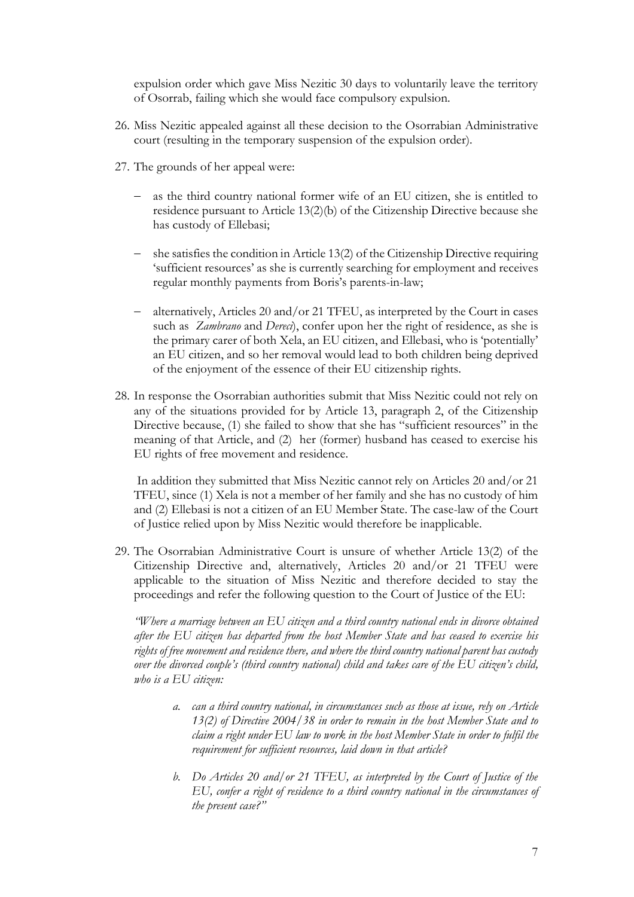expulsion order which gave Miss Nezitic 30 days to voluntarily leave the territory of Osorrab, failing which she would face compulsory expulsion.

- 26. Miss Nezitic appealed against all these decision to the Osorrabian Administrative court (resulting in the temporary suspension of the expulsion order).
- 27. The grounds of her appeal were:
	- as the third country national former wife of an EU citizen, she is entitled to residence pursuant to Article 13(2)(b) of the Citizenship Directive because she has custody of Ellebasi;
	- she satisfies the condition in Article 13(2) of the Citizenship Directive requiring 'sufficient resources' as she is currently searching for employment and receives regular monthly payments from Boris's parents-in-law;
	- alternatively, Articles 20 and/or 21 TFEU, as interpreted by the Court in cases such as *Zambrano* and *Dereci*), confer upon her the right of residence, as she is the primary carer of both Xela, an EU citizen, and Ellebasi, who is 'potentially' an EU citizen, and so her removal would lead to both children being deprived of the enjoyment of the essence of their EU citizenship rights.
- 28. In response the Osorrabian authorities submit that Miss Nezitic could not rely on any of the situations provided for by Article 13, paragraph 2, of the Citizenship Directive because, (1) she failed to show that she has "sufficient resources" in the meaning of that Article, and (2) her (former) husband has ceased to exercise his EU rights of free movement and residence.

In addition they submitted that Miss Nezitic cannot rely on Articles 20 and/or 21 TFEU, since (1) Xela is not a member of her family and she has no custody of him and (2) Ellebasi is not a citizen of an EU Member State. The case-law of the Court of Justice relied upon by Miss Nezitic would therefore be inapplicable.

29. The Osorrabian Administrative Court is unsure of whether Article 13(2) of the Citizenship Directive and, alternatively, Articles 20 and/or 21 TFEU were applicable to the situation of Miss Nezitic and therefore decided to stay the proceedings and refer the following question to the Court of Justice of the EU:

*"Where a marriage between an EU citizen and a third country national ends in divorce obtained after the EU citizen has departed from the host Member State and has ceased to exercise his rights of free movement and residence there, and where the third country national parent has custody over the divorced couple's (third country national) child and takes care of the EU citizen's child, who is a EU citizen:*

- *a. can a third country national, in circumstances such as those at issue, rely on Article 13(2) of Directive 2004/38 in order to remain in the host Member State and to claim a right under EU law to work in the host Member State in order to fulfil the requirement for sufficient resources, laid down in that article?*
- *b. Do Articles 20 and/or 21 TFEU, as interpreted by the Court of Justice of the EU, confer a right of residence to a third country national in the circumstances of the present case?"*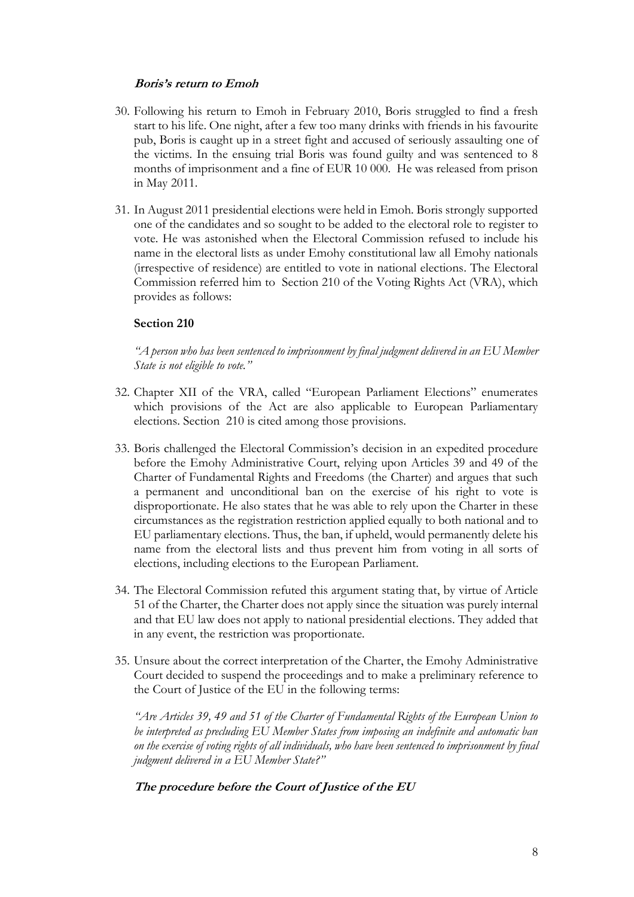### **Boris's return to Emoh**

- 30. Following his return to Emoh in February 2010, Boris struggled to find a fresh start to his life. One night, after a few too many drinks with friends in his favourite pub, Boris is caught up in a street fight and accused of seriously assaulting one of the victims. In the ensuing trial Boris was found guilty and was sentenced to 8 months of imprisonment and a fine of EUR 10 000. He was released from prison in May 2011.
- 31. In August 2011 presidential elections were held in Emoh. Boris strongly supported one of the candidates and so sought to be added to the electoral role to register to vote. He was astonished when the Electoral Commission refused to include his name in the electoral lists as under Emohy constitutional law all Emohy nationals (irrespective of residence) are entitled to vote in national elections. The Electoral Commission referred him to Section 210 of the Voting Rights Act (VRA), which provides as follows:

## **Section 210**

*"A person who has been sentenced to imprisonment by final judgment delivered in an EU Member State is not eligible to vote."* 

- 32. Chapter XII of the VRA, called "European Parliament Elections" enumerates which provisions of the Act are also applicable to European Parliamentary elections. Section 210 is cited among those provisions.
- 33. Boris challenged the Electoral Commission's decision in an expedited procedure before the Emohy Administrative Court, relying upon Articles 39 and 49 of the Charter of Fundamental Rights and Freedoms (the Charter) and argues that such a permanent and unconditional ban on the exercise of his right to vote is disproportionate. He also states that he was able to rely upon the Charter in these circumstances as the registration restriction applied equally to both national and to EU parliamentary elections. Thus, the ban, if upheld, would permanently delete his name from the electoral lists and thus prevent him from voting in all sorts of elections, including elections to the European Parliament.
- 34. The Electoral Commission refuted this argument stating that, by virtue of Article 51 of the Charter, the Charter does not apply since the situation was purely internal and that EU law does not apply to national presidential elections. They added that in any event, the restriction was proportionate.
- 35. Unsure about the correct interpretation of the Charter, the Emohy Administrative Court decided to suspend the proceedings and to make a preliminary reference to the Court of Justice of the EU in the following terms:

*"Are Articles 39, 49 and 51 of the Charter of Fundamental Rights of the European Union to be interpreted as precluding EU Member States from imposing an indefinite and automatic ban on the exercise of voting rights of all individuals, who have been sentenced to imprisonment by final judgment delivered in a EU Member State?"*

# **The procedure before the Court of Justice of the EU**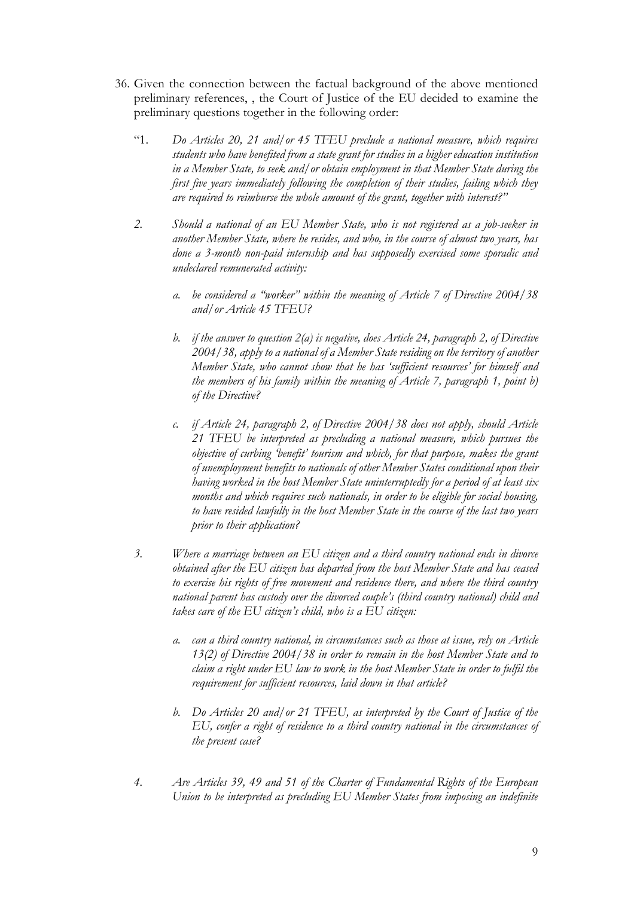- 36. Given the connection between the factual background of the above mentioned preliminary references, , the Court of Justice of the EU decided to examine the preliminary questions together in the following order:
	- "1. *Do Articles 20, 21 and/or 45 TFEU preclude a national measure, which requires students who have benefited from a state grant for studies in a higher education institution in a Member State, to seek and/or obtain employment in that Member State during the first five years immediately following the completion of their studies, failing which they are required to reimburse the whole amount of the grant, together with interest?"*
	- *2. Should a national of an EU Member State, who is not registered as a job-seeker in another Member State, where he resides, and who, in the course of almost two years, has done a 3-month non-paid internship and has supposedly exercised some sporadic and undeclared remunerated activity:*
		- *a. be considered a "worker" within the meaning of Article 7 of Directive 2004/38 and/or Article 45 TFEU?*
		- *b. if the answer to question 2(a) is negative, does Article 24, paragraph 2, of Directive 2004/38, apply to a national of a Member State residing on the territory of another Member State, who cannot show that he has 'sufficient resources' for himself and the members of his family within the meaning of Article 7, paragraph 1, point b) of the Directive?*
		- *c. if Article 24, paragraph 2, of Directive 2004/38 does not apply, should Article 21 TFEU be interpreted as precluding a national measure, which pursues the objective of curbing 'benefit' tourism and which, for that purpose, makes the grant of unemployment benefits to nationals of other Member States conditional upon their having worked in the host Member State uninterruptedly for a period of at least six months and which requires such nationals, in order to be eligible for social housing, to have resided lawfully in the host Member State in the course of the last two years prior to their application?*
	- *3. Where a marriage between an EU citizen and a third country national ends in divorce obtained after the EU citizen has departed from the host Member State and has ceased to exercise his rights of free movement and residence there, and where the third country national parent has custody over the divorced couple's (third country national) child and takes care of the EU citizen's child, who is a EU citizen:*
		- *a. can a third country national, in circumstances such as those at issue, rely on Article 13(2) of Directive 2004/38 in order to remain in the host Member State and to claim a right under EU law to work in the host Member State in order to fulfil the requirement for sufficient resources, laid down in that article?*
		- *b. Do Articles 20 and/or 21 TFEU, as interpreted by the Court of Justice of the EU, confer a right of residence to a third country national in the circumstances of the present case?*
	- *4. Are Articles 39, 49 and 51 of the Charter of Fundamental Rights of the European Union to be interpreted as precluding EU Member States from imposing an indefinite*